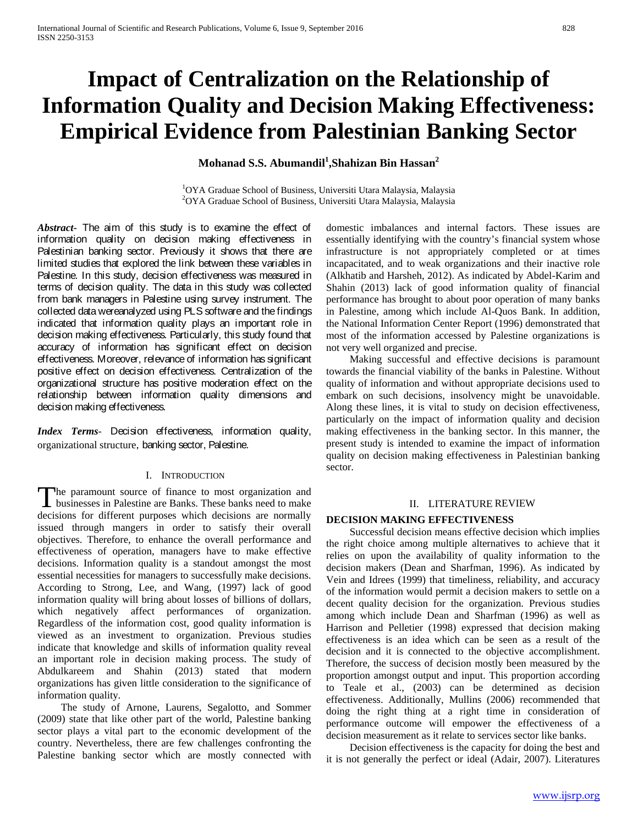# **Impact of Centralization on the Relationship of Information Quality and Decision Making Effectiveness: Empirical Evidence from Palestinian Banking Sector**

## **Mohanad S.S. Abumandil<sup>1</sup> ,Shahizan Bin Hassan<sup>2</sup>**

<sup>1</sup>OYA Graduae School of Business, Universiti Utara Malaysia, Malaysia <sup>2</sup>OYA Graduae School of Business, Universiti Utara Malaysia, Malaysia

*Abstract***-** The aim of this study is to examine the effect of information quality on decision making effectiveness in Palestinian banking sector. Previously it shows that there are limited studies that explored the link between these variables in Palestine. In this study, decision effectiveness was measured in terms of decision quality. The data in this study was collected from bank managers in Palestine using survey instrument. The collected data wereanalyzed using PLS software and the findings indicated that information quality plays an important role in decision making effectiveness. Particularly, this study found that accuracy of information has significant effect on decision effectiveness. Moreover, relevance of information has significant positive effect on decision effectiveness. Centralization of the organizational structure has positive moderation effect on the relationship between information quality dimensions and decision making effectiveness.

*Index Terms*- Decision effectiveness, information quality, organizational structure, banking sector, Palestine.

## I. INTRODUCTION

he paramount source of finance to most organization and businesses in Palestine are Banks. These banks need to make The paramount source of finance to most organization and businesses in Palestine are Banks. These banks need to make decisions for different purposes which decisions are normally issued through mangers in order to satisfy their overall objectives. Therefore, to enhance the overall performance and effectiveness of operation, managers have to make effective decisions. Information quality is a standout amongst the most essential necessities for managers to successfully make decisions. According to Strong, Lee, and Wang, (1997) lack of good information quality will bring about losses of billions of dollars, which negatively affect performances of organization. Regardless of the information cost, good quality information is viewed as an investment to organization. Previous studies indicate that knowledge and skills of information quality reveal an important role in decision making process. The study of Abdulkareem and Shahin (2013) stated that modern organizations has given little consideration to the significance of information quality.

 The study of Arnone, Laurens, Segalotto, and Sommer (2009) state that like other part of the world, Palestine banking sector plays a vital part to the economic development of the country. Nevertheless, there are few challenges confronting the Palestine banking sector which are mostly connected with domestic imbalances and internal factors. These issues are essentially identifying with the country's financial system whose infrastructure is not appropriately completed or at times incapacitated, and to weak organizations and their inactive role (Alkhatib and Harsheh, 2012). As indicated by Abdel-Karim and Shahin (2013) lack of good information quality of financial performance has brought to about poor operation of many banks in Palestine, among which include Al-Quos Bank. In addition, the National Information Center Report (1996) demonstrated that most of the information accessed by Palestine organizations is not very well organized and precise.

 Making successful and effective decisions is paramount towards the financial viability of the banks in Palestine. Without quality of information and without appropriate decisions used to embark on such decisions, insolvency might be unavoidable. Along these lines, it is vital to study on decision effectiveness, particularly on the impact of information quality and decision making effectiveness in the banking sector. In this manner, the present study is intended to examine the impact of information quality on decision making effectiveness in Palestinian banking sector.

### II. LITERATURE REVIEW

## **DECISION MAKING EFFECTIVENESS**

 Successful decision means effective decision which implies the right choice among multiple alternatives to achieve that it relies on upon the availability of quality information to the decision makers (Dean and Sharfman, 1996). As indicated by Vein and Idrees (1999) that timeliness, reliability, and accuracy of the information would permit a decision makers to settle on a decent quality decision for the organization. Previous studies among which include Dean and Sharfman (1996) as well as Harrison and Pelletier (1998) expressed that decision making effectiveness is an idea which can be seen as a result of the decision and it is connected to the objective accomplishment. Therefore, the success of decision mostly been measured by the proportion amongst output and input. This proportion according to Teale et al., (2003) can be determined as decision effectiveness. Additionally, Mullins (2006) recommended that doing the right thing at a right time in consideration of performance outcome will empower the effectiveness of a decision measurement as it relate to services sector like banks.

 Decision effectiveness is the capacity for doing the best and it is not generally the perfect or ideal (Adair, 2007). Literatures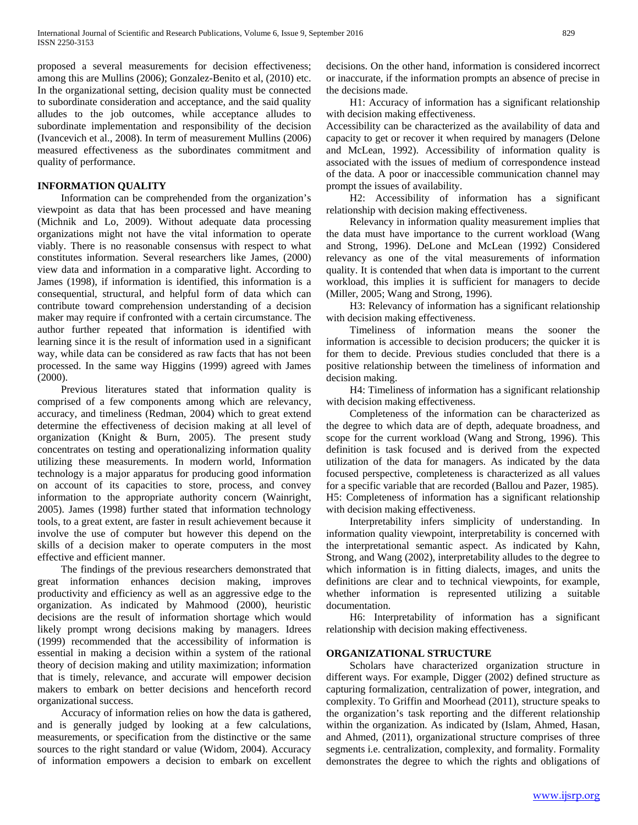proposed a several measurements for decision effectiveness; among this are Mullins (2006); Gonzalez-Benito et al, (2010) etc. In the organizational setting, decision quality must be connected to subordinate consideration and acceptance, and the said quality alludes to the job outcomes, while acceptance alludes to subordinate implementation and responsibility of the decision (Ivancevich et al., 2008). In term of measurement Mullins (2006) measured effectiveness as the subordinates commitment and quality of performance.

## **INFORMATION QUALITY**

 Information can be comprehended from the organization's viewpoint as data that has been processed and have meaning (Michnik and Lo, 2009). Without adequate data processing organizations might not have the vital information to operate viably. There is no reasonable consensus with respect to what constitutes information. Several researchers like James, (2000) view data and information in a comparative light. According to James (1998), if information is identified, this information is a consequential, structural, and helpful form of data which can contribute toward comprehension understanding of a decision maker may require if confronted with a certain circumstance. The author further repeated that information is identified with learning since it is the result of information used in a significant way, while data can be considered as raw facts that has not been processed. In the same way Higgins (1999) agreed with James (2000).

 Previous literatures stated that information quality is comprised of a few components among which are relevancy, accuracy, and timeliness (Redman, 2004) which to great extend determine the effectiveness of decision making at all level of organization (Knight & Burn, 2005). The present study concentrates on testing and operationalizing information quality utilizing these measurements. In modern world, Information technology is a major apparatus for producing good information on account of its capacities to store, process, and convey information to the appropriate authority concern (Wainright, 2005). James (1998) further stated that information technology tools, to a great extent, are faster in result achievement because it involve the use of computer but however this depend on the skills of a decision maker to operate computers in the most effective and efficient manner.

 The findings of the previous researchers demonstrated that great information enhances decision making, improves productivity and efficiency as well as an aggressive edge to the organization. As indicated by Mahmood (2000), heuristic decisions are the result of information shortage which would likely prompt wrong decisions making by managers. Idrees (1999) recommended that the accessibility of information is essential in making a decision within a system of the rational theory of decision making and utility maximization; information that is timely, relevance, and accurate will empower decision makers to embark on better decisions and henceforth record organizational success.

 Accuracy of information relies on how the data is gathered, and is generally judged by looking at a few calculations, measurements, or specification from the distinctive or the same sources to the right standard or value (Widom, 2004). Accuracy of information empowers a decision to embark on excellent decisions. On the other hand, information is considered incorrect or inaccurate, if the information prompts an absence of precise in the decisions made.

 H1: Accuracy of information has a significant relationship with decision making effectiveness.

Accessibility can be characterized as the availability of data and capacity to get or recover it when required by managers (Delone and McLean, 1992). Accessibility of information quality is associated with the issues of medium of correspondence instead of the data. A poor or inaccessible communication channel may prompt the issues of availability.

 H2: Accessibility of information has a significant relationship with decision making effectiveness.

 Relevancy in information quality measurement implies that the data must have importance to the current workload (Wang and Strong, 1996). DeLone and McLean (1992) Considered relevancy as one of the vital measurements of information quality. It is contended that when data is important to the current workload, this implies it is sufficient for managers to decide (Miller, 2005; Wang and Strong, 1996).

 H3: Relevancy of information has a significant relationship with decision making effectiveness.

 Timeliness of information means the sooner the information is accessible to decision producers; the quicker it is for them to decide. Previous studies concluded that there is a positive relationship between the timeliness of information and decision making.

 H4: Timeliness of information has a significant relationship with decision making effectiveness.

 Completeness of the information can be characterized as the degree to which data are of depth, adequate broadness, and scope for the current workload (Wang and Strong, 1996). This definition is task focused and is derived from the expected utilization of the data for managers. As indicated by the data focused perspective, completeness is characterized as all values for a specific variable that are recorded (Ballou and Pazer, 1985). H5: Completeness of information has a significant relationship with decision making effectiveness.

 Interpretability infers simplicity of understanding. In information quality viewpoint, interpretability is concerned with the interpretational semantic aspect. As indicated by Kahn, Strong, and Wang (2002), interpretability alludes to the degree to which information is in fitting dialects, images, and units the definitions are clear and to technical viewpoints, for example, whether information is represented utilizing a suitable documentation.

 H6: Interpretability of information has a significant relationship with decision making effectiveness.

## **ORGANIZATIONAL STRUCTURE**

 Scholars have characterized organization structure in different ways. For example, Digger (2002) defined structure as capturing formalization, centralization of power, integration, and complexity. To Griffin and Moorhead (2011), structure speaks to the organization's task reporting and the different relationship within the organization. As indicated by (Islam, Ahmed, Hasan, and Ahmed, (2011), organizational structure comprises of three segments i.e. centralization, complexity, and formality. Formality demonstrates the degree to which the rights and obligations of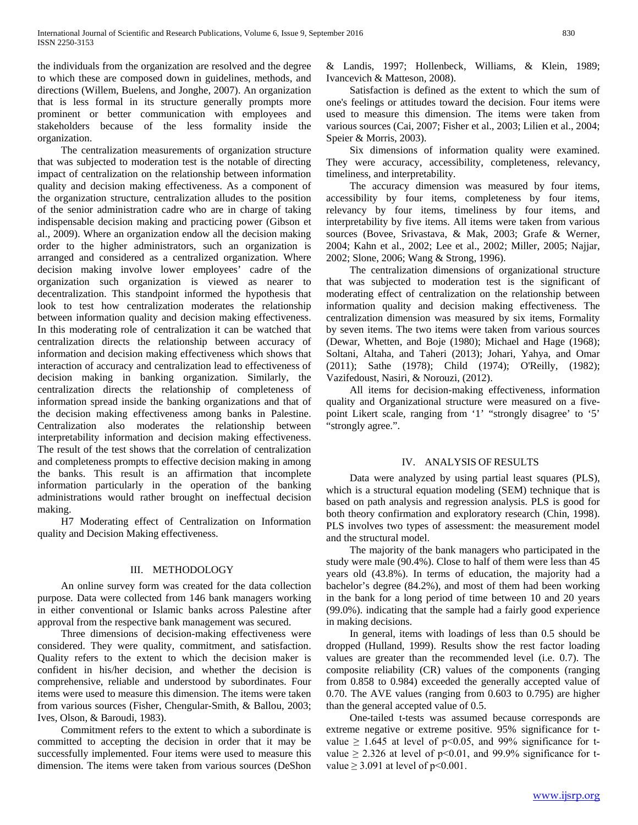the individuals from the organization are resolved and the degree to which these are composed down in guidelines, methods, and directions (Willem, Buelens, and Jonghe, 2007). An organization that is less formal in its structure generally prompts more prominent or better communication with employees and stakeholders because of the less formality inside the organization.

 The centralization measurements of organization structure that was subjected to moderation test is the notable of directing impact of centralization on the relationship between information quality and decision making effectiveness. As a component of the organization structure, centralization alludes to the position of the senior administration cadre who are in charge of taking indispensable decision making and practicing power (Gibson et al., 2009). Where an organization endow all the decision making order to the higher administrators, such an organization is arranged and considered as a centralized organization. Where decision making involve lower employees' cadre of the organization such organization is viewed as nearer to decentralization. This standpoint informed the hypothesis that look to test how centralization moderates the relationship between information quality and decision making effectiveness. In this moderating role of centralization it can be watched that centralization directs the relationship between accuracy of information and decision making effectiveness which shows that interaction of accuracy and centralization lead to effectiveness of decision making in banking organization. Similarly, the centralization directs the relationship of completeness of information spread inside the banking organizations and that of the decision making effectiveness among banks in Palestine. Centralization also moderates the relationship between interpretability information and decision making effectiveness. The result of the test shows that the correlation of centralization and completeness prompts to effective decision making in among the banks. This result is an affirmation that incomplete information particularly in the operation of the banking administrations would rather brought on ineffectual decision making.

 H7 Moderating effect of Centralization on Information quality and Decision Making effectiveness.

## III. METHODOLOGY

 An online survey form was created for the data collection purpose. Data were collected from 146 bank managers working in either conventional or Islamic banks across Palestine after approval from the respective bank management was secured.

 Three dimensions of decision-making effectiveness were considered. They were quality, commitment, and satisfaction. Quality refers to the extent to which the decision maker is confident in his/her decision, and whether the decision is comprehensive, reliable and understood by subordinates. Four items were used to measure this dimension. The items were taken from various sources (Fisher, Chengular-Smith, & Ballou, 2003; Ives, Olson, & Baroudi, 1983).

 Commitment refers to the extent to which a subordinate is committed to accepting the decision in order that it may be successfully implemented. Four items were used to measure this dimension. The items were taken from various sources (DeShon

& Landis, 1997; Hollenbeck, Williams, & Klein, 1989; Ivancevich & Matteson, 2008).

 Satisfaction is defined as the extent to which the sum of one's feelings or attitudes toward the decision. Four items were used to measure this dimension. The items were taken from various sources (Cai, 2007; Fisher et al., 2003; Lilien et al., 2004; Speier & Morris, 2003).

 Six dimensions of information quality were examined. They were accuracy, accessibility, completeness, relevancy, timeliness, and interpretability.

 The accuracy dimension was measured by four items, accessibility by four items, completeness by four items, relevancy by four items, timeliness by four items, and interpretability by five items. All items were taken from various sources (Bovee, Srivastava, & Mak, 2003; Grafe & Werner, 2004; Kahn et al., 2002; Lee et al., 2002; Miller, 2005; Najjar, 2002; Slone, 2006; Wang & Strong, 1996).

 The centralization dimensions of organizational structure that was subjected to moderation test is the significant of moderating effect of centralization on the relationship between information quality and decision making effectiveness. The centralization dimension was measured by six items, Formality by seven items. The two items were taken from various sources (Dewar, Whetten, and Boje (1980); Michael and Hage (1968); Soltani, Altaha, and Taheri (2013); Johari, Yahya, and Omar (2011); Sathe (1978); Child (1974); O'Reilly, (1982); Vazifedoust, Nasiri, & Norouzi, (2012).

 All items for decision-making effectiveness, information quality and Organizational structure were measured on a fivepoint Likert scale, ranging from '1' "strongly disagree' to '5' "strongly agree.".

### IV. ANALYSIS OF RESULTS

 Data were analyzed by using partial least squares (PLS), which is a structural equation modeling (SEM) technique that is based on path analysis and regression analysis. PLS is good for both theory confirmation and exploratory research (Chin, 1998). PLS involves two types of assessment: the measurement model and the structural model.

 The majority of the bank managers who participated in the study were male (90.4%). Close to half of them were less than 45 years old (43.8%). In terms of education, the majority had a bachelor's degree (84.2%), and most of them had been working in the bank for a long period of time between 10 and 20 years (99.0%). indicating that the sample had a fairly good experience in making decisions.

 In general, items with loadings of less than 0.5 should be dropped (Hulland, 1999). Results show the rest factor loading values are greater than the recommended level (i.e. 0.7). The composite reliability (CR) values of the components (ranging from 0.858 to 0.984) exceeded the generally accepted value of 0.70. The AVE values (ranging from 0.603 to 0.795) are higher than the general accepted value of 0.5.

 One-tailed t-tests was assumed because corresponds are extreme negative or extreme positive. 95% significance for tvalue  $\geq$  1.645 at level of p<0.05, and 99% significance for tvalue  $\geq$  2.326 at level of p<0.01, and 99.9% significance for tvalue  $\geq$  3.091 at level of p<0.001.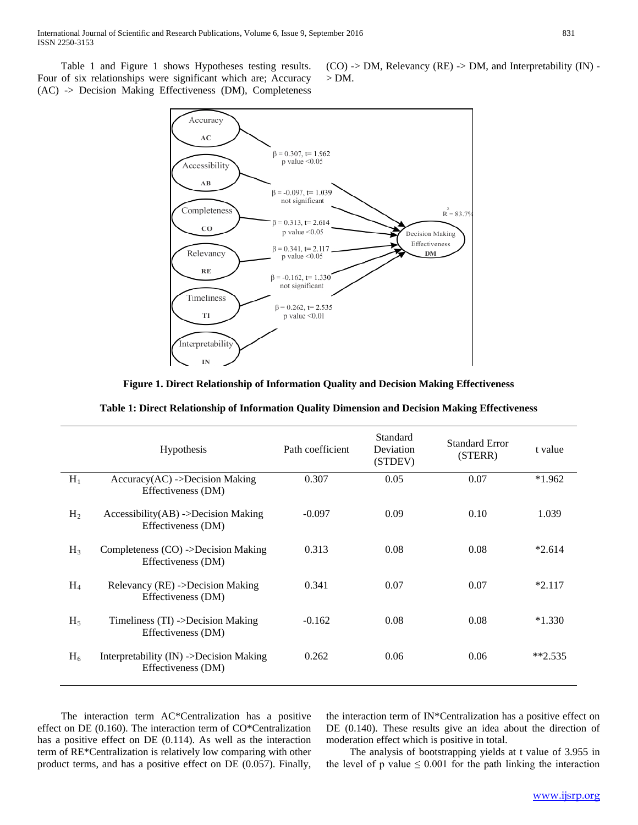Table 1 and Figure 1 shows Hypotheses testing results. Four of six relationships were significant which are; Accuracy (AC) -> Decision Making Effectiveness (DM), Completeness (CO) -> DM, Relevancy (RE) -> DM, and Interpretability (IN) -  $> DM$ .



**Figure 1. Direct Relationship of Information Quality and Decision Making Effectiveness**

| Table 1: Direct Relationship of Information Quality Dimension and Decision Making Effectiveness |  |  |
|-------------------------------------------------------------------------------------------------|--|--|
|-------------------------------------------------------------------------------------------------|--|--|

|                | <b>Hypothesis</b>                                             | Path coefficient | Standard<br>Deviation<br>(STDEV) | <b>Standard Error</b><br>(STERR) | t value  |
|----------------|---------------------------------------------------------------|------------------|----------------------------------|----------------------------------|----------|
| $H_1$          | $Accuracy(AC)$ ->Decision Making<br>Effectiveness (DM)        | 0.307            | 0.05                             | 0.07                             | $*1.962$ |
| H <sub>2</sub> | $Accessibility(AB)$ ->Decision Making<br>Effectiveness (DM)   | $-0.097$         | 0.09                             | 0.10                             | 1.039    |
| $H_3$          | Completeness (CO) ->Decision Making<br>Effectiveness (DM)     | 0.313            | 0.08                             | 0.08                             | $*2.614$ |
| $H_4$          | Relevancy (RE) ->Decision Making<br>Effectiveness (DM)        | 0.341            | 0.07                             | 0.07                             | $*2.117$ |
| $H_5$          | Timeliness $(TI)$ ->Decision Making<br>Effectiveness (DM)     | $-0.162$         | 0.08                             | 0.08                             | $*1.330$ |
| $H_6$          | Interpretability (IN) ->Decision Making<br>Effectiveness (DM) | 0.262            | 0.06                             | 0.06                             | $*2.535$ |

 The interaction term AC\*Centralization has a positive effect on DE (0.160). The interaction term of CO\*Centralization has a positive effect on DE (0.114). As well as the interaction term of RE\*Centralization is relatively low comparing with other product terms, and has a positive effect on DE (0.057). Finally,

the interaction term of IN\*Centralization has a positive effect on DE (0.140). These results give an idea about the direction of moderation effect which is positive in total.

 The analysis of bootstrapping yields at t value of 3.955 in the level of p value  $\leq 0.001$  for the path linking the interaction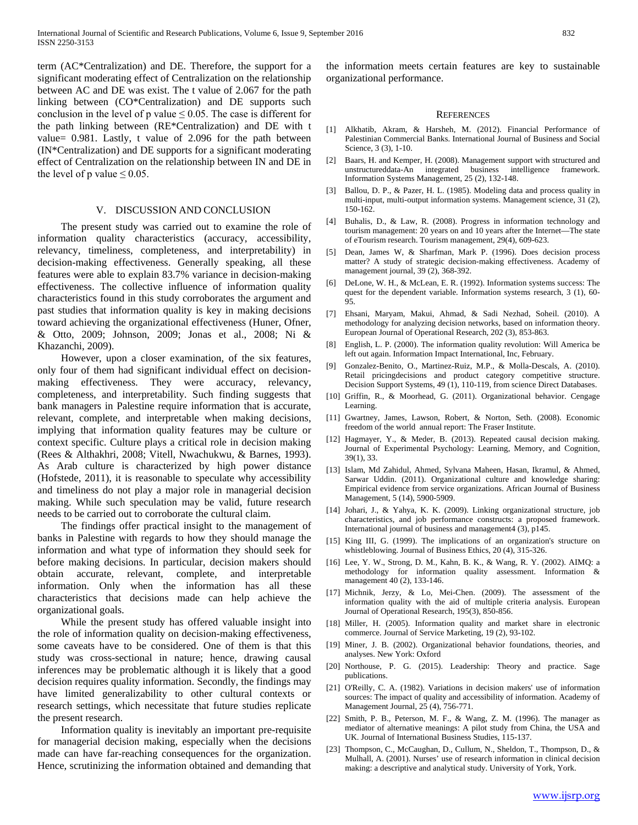term (AC\*Centralization) and DE. Therefore, the support for a significant moderating effect of Centralization on the relationship between AC and DE was exist. The t value of 2.067 for the path linking between (CO\*Centralization) and DE supports such conclusion in the level of p value  $\leq 0.05$ . The case is different for the path linking between (RE\*Centralization) and DE with t value= 0.981. Lastly, t value of 2.096 for the path between (IN\*Centralization) and DE supports for a significant moderating effect of Centralization on the relationship between IN and DE in the level of p value  $\leq 0.05$ .

## V. DISCUSSION AND CONCLUSION

 The present study was carried out to examine the role of information quality characteristics (accuracy, accessibility, relevancy, timeliness, completeness, and interpretability) in decision-making effectiveness. Generally speaking, all these features were able to explain 83.7% variance in decision-making effectiveness. The collective influence of information quality characteristics found in this study corroborates the argument and past studies that information quality is key in making decisions toward achieving the organizational effectiveness (Huner, Ofner, & Otto, 2009; Johnson, 2009; Jonas et al., 2008; Ni & Khazanchi, 2009).

 However, upon a closer examination, of the six features, only four of them had significant individual effect on decisionmaking effectiveness. They were accuracy, relevancy, completeness, and interpretability. Such finding suggests that bank managers in Palestine require information that is accurate, relevant, complete, and interpretable when making decisions, implying that information quality features may be culture or context specific. Culture plays a critical role in decision making (Rees & Althakhri, 2008; Vitell, Nwachukwu, & Barnes, 1993). As Arab culture is characterized by high power distance (Hofstede, 2011), it is reasonable to speculate why accessibility and timeliness do not play a major role in managerial decision making. While such speculation may be valid, future research needs to be carried out to corroborate the cultural claim.

 The findings offer practical insight to the management of banks in Palestine with regards to how they should manage the information and what type of information they should seek for before making decisions. In particular, decision makers should obtain accurate, relevant, complete, and interpretable information. Only when the information has all these characteristics that decisions made can help achieve the organizational goals.

 While the present study has offered valuable insight into the role of information quality on decision-making effectiveness, some caveats have to be considered. One of them is that this study was cross-sectional in nature; hence, drawing causal inferences may be problematic although it is likely that a good decision requires quality information. Secondly, the findings may have limited generalizability to other cultural contexts or research settings, which necessitate that future studies replicate the present research.

 Information quality is inevitably an important pre-requisite for managerial decision making, especially when the decisions made can have far-reaching consequences for the organization. Hence, scrutinizing the information obtained and demanding that

the information meets certain features are key to sustainable organizational performance.

#### **REFERENCES**

- [1] Alkhatib, Akram, & Harsheh, M. (2012). Financial Performance of Palestinian Commercial Banks. International Journal of Business and Social Science, 3 (3), 1-10.
- [2] Baars, H. and Kemper, H. (2008). Management support with structured and unstructureddata-An integrated business intelligence framework. Information Systems Management, 25 (2), 132-148.
- [3] Ballou, D. P., & Pazer, H. L. (1985). Modeling data and process quality in multi-input, multi-output information systems. Management science, 31 (2), 150-162.
- [4] Buhalis, D., & Law, R. (2008). Progress in information technology and tourism management: 20 years on and 10 years after the Internet—The state of eTourism research. Tourism management, 29(4), 609-623.
- [5] Dean, James W, & Sharfman, Mark P. (1996). Does decision process matter? A study of strategic decision-making effectiveness. Academy of management journal, 39 (2), 368-392.
- [6] DeLone, W. H., & McLean, E. R. (1992). Information systems success: The quest for the dependent variable. Information systems research, 3 (1), 60- 95.
- [7] Ehsani, Maryam, Makui, Ahmad, & Sadi Nezhad, Soheil. (2010). A methodology for analyzing decision networks, based on information theory. European Journal of Operational Research, 202 (3), 853-863.
- [8] English, L. P. (2000). The information quality revolution: Will America be left out again. Information Impact International, Inc, February.
- [9] Gonzalez-Benito, O., Martinez-Ruiz, M.P., & Molla-Descals, A. (2010). Retail pricingdecisions and product category competitive structure. Decision Support Systems, 49 (1), 110-119, from science Direct Databases.
- [10] Griffin, R., & Moorhead, G. (2011). Organizational behavior. Cengage Learning.
- [11] Gwartney, James, Lawson, Robert, & Norton, Seth. (2008). Economic freedom of the world annual report: The Fraser Institute.
- [12] Hagmayer, Y., & Meder, B. (2013). Repeated causal decision making. Journal of Experimental Psychology: Learning, Memory, and Cognition, 39(1), 33.
- [13] Islam, Md Zahidul, Ahmed, Sylvana Maheen, Hasan, Ikramul, & Ahmed, Sarwar Uddin. (2011). Organizational culture and knowledge sharing: Empirical evidence from service organizations. African Journal of Business Management, 5 (14), 5900-5909.
- [14] Johari, J., & Yahya, K. K. (2009). Linking organizational structure, job characteristics, and job performance constructs: a proposed framework. International journal of business and management4 (3), p145.
- [15] King III, G. (1999). The implications of an organization's structure on whistleblowing. Journal of Business Ethics, 20 (4), 315-326.
- [16] Lee, Y. W., Strong, D. M., Kahn, B. K., & Wang, R. Y. (2002). AIMQ: a methodology for information quality assessment. Information & management 40 (2), 133-146.
- [17] Michnik, Jerzy, & Lo, Mei-Chen. (2009). The assessment of the information quality with the aid of multiple criteria analysis. European Journal of Operational Research, 195(3), 850-856.
- [18] Miller, H. (2005). Information quality and market share in electronic commerce. Journal of Service Marketing, 19 (2), 93-102.
- [19] Miner, J. B. (2002). Organizational behavior foundations, theories, and analyses. New York: Oxford
- [20] Northouse, P. G. (2015). Leadership: Theory and practice. Sage publications.
- [21] O'Reilly, C. A. (1982). Variations in decision makers' use of information sources: The impact of quality and accessibility of information. Academy of Management Journal, 25 (4), 756-771.
- [22] Smith, P. B., Peterson, M. F., & Wang, Z. M. (1996). The manager as mediator of alternative meanings: A pilot study from China, the USA and UK. Journal of International Business Studies, 115-137.
- [23] Thompson, C., McCaughan, D., Cullum, N., Sheldon, T., Thompson, D., & Mulhall, A. (2001). Nurses' use of research information in clinical decision making: a descriptive and analytical study. University of York, York.